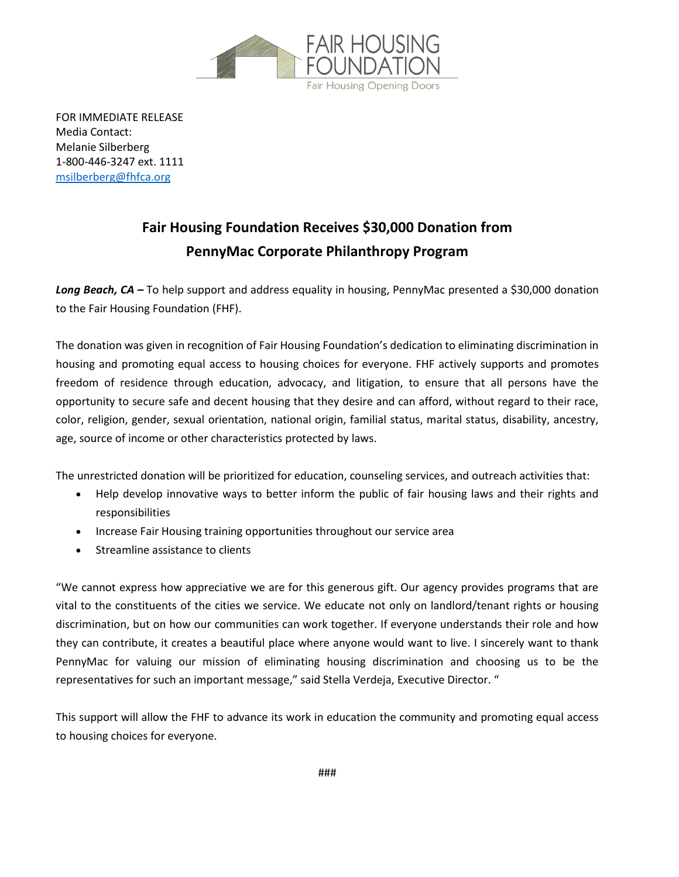

FOR IMMEDIATE RELEASE Media Contact: Melanie Silberberg 1-800-446-3247 ext. 1111 [msilberberg@fhfca.org](mailto:msilberberg@fhfca.org)

## **Fair Housing Foundation Receives \$30,000 Donation from PennyMac Corporate Philanthropy Program**

*Long Beach, CA –* To help support and address equality in housing, PennyMac presented a \$30,000 donation to the Fair Housing Foundation (FHF).

The donation was given in recognition of Fair Housing Foundation's dedication to eliminating discrimination in housing and promoting equal access to housing choices for everyone. FHF actively supports and promotes freedom of residence through education, advocacy, and litigation, to ensure that all persons have the opportunity to secure safe and decent housing that they desire and can afford, without regard to their race, color, religion, gender, sexual orientation, national origin, familial status, marital status, disability, ancestry, age, source of income or other characteristics protected by laws.

The unrestricted donation will be prioritized for education, counseling services, and outreach activities that:

- Help develop innovative ways to better inform the public of fair housing laws and their rights and responsibilities
- Increase Fair Housing training opportunities throughout our service area
- Streamline assistance to clients

"We cannot express how appreciative we are for this generous gift. Our agency provides programs that are vital to the constituents of the cities we service. We educate not only on landlord/tenant rights or housing discrimination, but on how our communities can work together. If everyone understands their role and how they can contribute, it creates a beautiful place where anyone would want to live. I sincerely want to thank PennyMac for valuing our mission of eliminating housing discrimination and choosing us to be the representatives for such an important message," said Stella Verdeja, Executive Director. "

This support will allow the FHF to advance its work in education the community and promoting equal access to housing choices for everyone.